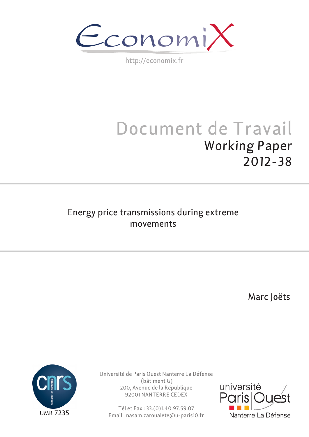EconomiX

http://economix.fr

# Document de Travail Working Paper 2012-38

# Energy price transmissions during extreme movements

Marc Joëts



Université de Paris Ouest Nanterre La Défense (bâtiment G) 200, Avenue de la République 92001 NANTERRE CEDEX

Tél et Fax : 33.(0)1.40.97.59.07 Email : nasam.zaroualete@u-paris10.fr

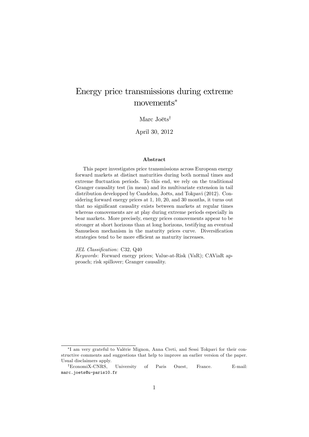# Energy price transmissions during extreme movements

### Marc Joëts<sup>†</sup>

April 30, 2012

#### Abstract

This paper investigates price transmissions across European energy forward markets at distinct maturities during both normal times and extreme fluctuation periods. To this end, we rely on the traditional Granger causality test (in mean) and its multivariate extension in tail distribution developped by Candelon, Joëts, and Tokpavi (2012). Considering forward energy prices at 1, 10, 20, and 30 months, it turns out that no significant causality exists between markets at regular times whereas comovements are at play during extreme periods especially in bear markets. More precisely, energy prices comovements appear to be stronger at short horizons than at long horizons, testifying an eventual Samuelson mechanism in the maturity prices curve. Diversification strategies tend to be more efficient as maturity increases.

JEL Classification: C32, Q40

Keywords: Forward energy prices; Value-at-Risk (VaR); CAViaR approach; risk spillover; Granger causality.

I am very grateful to ValÈrie Mignon, Anna Creti, and Sessi Tokpavi for their constructive comments and suggestions that help to improve an earlier version of the paper. Usual disclaimers apply.

<sup>&</sup>lt;sup>†</sup>EconomiX-CNRS, University of Paris Ouest, France. E-mail: marc.joets@u-paris10.fr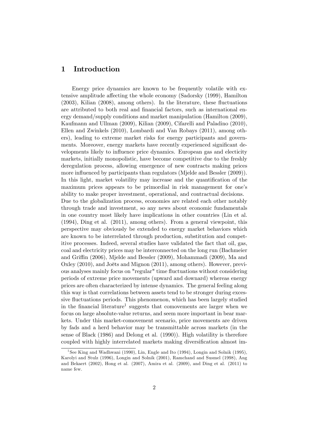## 1 Introduction

Energy price dynamics are known to be frequently volatile with extensive amplitude affecting the whole economy (Sadorsky (1999), Hamilton  $(2003)$ , Kilian  $(2008)$ , among others). In the literature, these fluctuations are attributed to both real and financial factors, such as international energy demand/supply conditions and market manipulation (Hamilton (2009), Kaufmann and Ullman (2009), Kilian (2009), Cifarelli and Paladino (2010), Ellen and Zwinkels (2010), Lombardi and Van Robays (2011), among others), leading to extreme market risks for energy participants and governments. Moreover, energy markets have recently experienced significant developments likely to influence price dynamics. European gas and electicity markets, initially monopolistic, have become competitive due to the freshly deregulation process, allowing emergence of new contracts making prices more influenced by participants than regulators (Mjelde and Bessler (2009)). In this light, market volatility may increase and the quantification of the maximum prices appears to be primordial in risk management for one's ability to make proper investment, operational, and contractual decisions. Due to the globalization process, economies are related each other notably through trade and investment, so any news about economic fundamentals in one country most likely have implications in other countries (Lin et al. (1994), Ding et al. (2011), among others). From a general viewpoint, this perspective may obviously be extended to energy market behaviors which are known to be interrelated through production, substitution and competitive processes. Indeed, several studies have validated the fact that oil, gas, coal and electricity prices may be interconnected on the long run (Bachmeier and Griffin (2006), Mjelde and Bessler (2009), Mohammadi (2009), Ma and Oxley  $(2010)$ , and Joëts and Mignon  $(2011)$ , among others). However, previous analyses mainly focus on "regular" time áuctuations without considering periods of extreme price movements (upward and downard) whereas energy prices are often characterized by intense dynamics. The general feeling along this way is that correlations between assets tend to be stronger during excessive fluctuations periods. This phenomenon, which has been largely studied in the financial literature<sup>[1](#page-2-0)</sup> suggests that comovements are larger when we focus on large absolute-value returns, and seem more important in bear markets. Under this market-comovement scenario, price movements are driven by fads and a herd behavior may be transmittable across markets (in the sense of Black (1986) and Delong et al. (1990)). High volatility is therefore coupled with highly interrelated markets making diversification almost im-

<span id="page-2-0"></span><sup>&</sup>lt;sup>1</sup>See King and Wadhwani (1990), Lin, Engle and Ito (1994), Longin and Solnik (1995), Karolyi and Stulz (1996), Longin and Solnik (2001), Ramchand and Susmel (1998), Ang and Bekaert (2002), Hong et al. (2007), Amira et al. (2009), and Ding et al. (2011) to name few.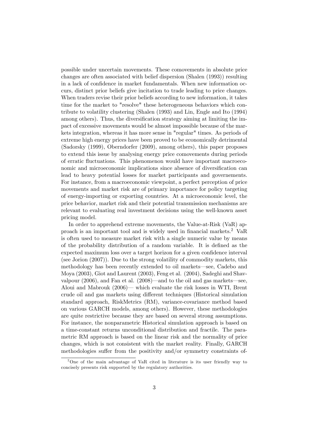possible under uncertain movements. These comovements in absolute price changes are often associated with belief dispersion (Shalen (1993)) resulting in a lack of confidence in market fundamentals. When new information occurs, distinct prior beliefs give incitation to trade leading to price changes. When traders revise their prior beliefs according to new information, it takes time for the market to "resolve" these heterogeneous behaviors which contribute to volatility clustering (Shalen (1993) and Lin, Engle and Ito (1994) among others). Thus, the diversification strategy aiming at limiting the impact of excessive movements would be almost impossible because of the markets integration, whereas it has more sense in "regular" times. As periods of extreme high energy prices have been proved to be economically detrimental (Sadorsky (1999), Oberndorfer (2009), among others), this paper proposes to extend this issue by analysing energy price comovements during periods of erratic fluctuations. This phenomenon would have important macroeconomic and microeconomic implications since absence of diversification can lead to heavy potential losses for market participants and governements. For instance, from a macroeconomic viewpoint, a perfect perception of price movements and market risk are of primary importance for policy targeting of energy-importing or exporting countries. At a microeconomic level, the price behavior, market risk and their potential transmission mechanisms are relevant to evaluating real investment decisions using the well-known asset pricing model.

In order to apprehend extreme movements, the Value-at-Risk (VaR) ap-proach is an important tool and is widely used in financial markets.<sup>[2](#page-3-0)</sup> VaR is often used to measure market risk with a single numeric value by means of the probability distribution of a random variable. It is defined as the expected maximum loss over a target horizon for a given confidence interval (see Jorion (2007)). Due to the strong volatility of commodity markets, this methodology has been recently extended to oil markets—see, Cadebo and Moya (2003), Giot and Laurent (2003), Feng et al. (2004), Sadeghi and Shavvalpour  $(2006)$ , and Fan et al.  $(2008)$ —and to the oil and gas markets—see, Aloui and Mabrouk  $(2006)$  which evaluate the risk losses in WTI, Brent crude oil and gas markets using different techniques (Historical simulation standard approach, RiskMetrics (RM), variance-covariance method based on various GARCH models, among others). However, these methodologies are quite restrictive because they are based on several strong assumptions. For instance, the nonparametric Historical simulation approach is based on a time-constant returns unconditional distribution and fractile. The parametric RM approach is based on the linear risk and the normality of price changes, which is not consistent with the market reality. Finally, GARCH methodologies suffer from the positivity and/or symmetry constraints of-

<span id="page-3-0"></span><sup>2</sup>One of the main advantage of VaR cited in literature is its user friendly way to concisely presents risk supported by the regulatory authorities.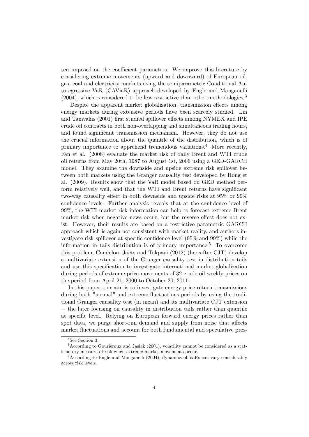ten imposed on the coefficient parameters. We improve this literature by considering extreme movements (upward and downward) of European oil, gas, coal and electricity markets using the semiparametric Conditional Autoregressive VaR (CAViaR) approach developed by Engle and Manganelli  $(2004)$ , which is considered to be less restrictive than other methodologies.<sup>[3](#page-4-0)</sup>

Despite the apparent market globalization, transmission effects among energy markets during extensive periods have been scarcely studied. Lin and Tamvakis (2001) first studied spillover effects among NYMEX and IPE crude oil contracts in both non-overlapping and simultaneous trading hours, and found significant transmission mechanism. However, they do not use the crucial information about the quantile of the distribution, which is of primary importance to apprehend tremendous variations.[4](#page-4-1) More recently, Fan et al. (2008) evaluate the market risk of daily Brent and WTI crude oil returns from May 20th, 1987 to August 1st, 2006 using a GED-GARCH model. They examine the downside and upside extreme risk spillover between both markets using the Granger causality test developed by Hong et al. (2009). Results show that the VaR model based on GED method perform relatively well, and that the WTI and Brent returns have significant two-way causality effect in both downside and upside risks at  $95\%$  or  $99\%$ confidence levels. Further analysis reveals that at the confidence level of 99%, the WTI market risk information can help to forecast extreme Brent market risk when negative news occur, but the reverse effect does not exist. However, their results are based on a restrictive parametric GARCH approach which is again not consistent with market reality, and authors investigate risk spillover at specific confidence level  $(95\% \text{ and } 99\%)$  while the information in tails distribution is of primary importance.[5](#page-4-2) To overcome this problem, Candelon, Joëts and Tokpavi (2012) (hereafter CJT) develop a multivariate extension of the Granger causality test in distribution tails and use this specification to investigate international market globalization during periods of extreme price movements of 32 crude oil weekly prices on the period from April 21, 2000 to October 20, 2011.

In this paper, our aim is to investigate energy price return transmissions during both "normal" and extreme fluctuations periods by using the traditional Granger causality test (in mean) and its multivariate CJT extension  $-$  the later focusing on causality in distribution tails rather than quantile at specific level. Relying on European forward energy prices rather than spot data, we purge short-run demand and supply from noise that affects market fluctuations and account for both fundamental and speculative pres-

<span id="page-4-1"></span><span id="page-4-0"></span><sup>3</sup> See Section 3.

 $4$ According to Gouriéroux and Jasiak (2001), volatility cannot be considered as a statisfactory measure of risk when extreme market movements occur.

<span id="page-4-2"></span><sup>&</sup>lt;sup>5</sup> According to Engle and Manganelli (2004), dynamics of VaRs can vary considerably across risk levels.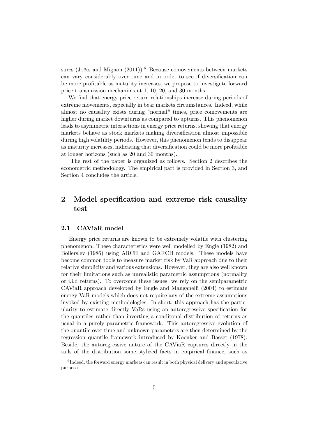sures (Joëts and Mignon  $(2011)$ ).<sup>[6](#page-5-0)</sup> Because comovements between markets can vary considerably over time and in order to see if diversification can be more profitable as maturity increases, we propose to investigate forward price transmission mechanims at 1, 10, 20, and 30 months.

We find that energy price return relationships increase during periods of extreme movements, especially in bear markets circumstances. Indeed, while almost no causality exists during "normal" times, price comovements are higher during market downturns as compared to upturns. This phenomenon leads to asymmetric interactions in energy price returns, showing that energy markets behave as stock markets making diversification almost impossible during high volatility periods. However, this phenomenon tends to disappear as maturity increases, indicating that diversification could be more profitable at longer horizons (such as 20 and 30 months).

The rest of the paper is organized as follows. Section 2 describes the econometric methodology. The empirical part is provided in Section 3, and Section 4 concludes the article.

# 2 Model specification and extreme risk causality test

#### 2.1 CAViaR model

Energy price returns are known to be extremely volatile with clustering phenomenon. These characteristics were well modelled by Engle (1982) and Bollerslev (1986) using ARCH and GARCH models. These models have become common tools to measure market risk by VaR approach due to their relative simplicity and various extensions. However, they are also well known for their limitations such as unrealistic parametric assumptions (normality or i.i.d returns). To overcome these issues, we rely on the semiparametric CAViaR approach developed by Engle and Manganelli (2004) to estimate energy VaR models which does not require any of the extreme assumptions invoked by existing methodologies. In short, this approach has the particularity to estimate directly VaRs using an autoregressive specification for the quantiles rather than inverting a conditonal distribution of returns as usual in a purely parametric framework. This autoregressive evolution of the quantile over time and unknown parameters are then determined by the regression quantile framework introduced by Koenker and Basset (1978). Beside, the autoregressive nature of the CAViaR captures directly in the tails of the distribution some stylized facts in empirical finance, such as

<span id="page-5-0"></span><sup>&</sup>lt;sup>6</sup>Indeed, the forward energy markets can result in both physical delivery and speculative purposes.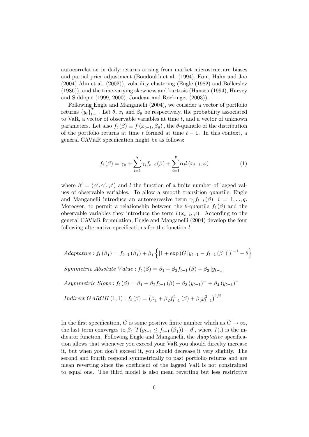autocorrelation in daily returns arising from market microstructure biases and partial price adjustment (Boudoukh et al. (1994), Eom, Hahn and Joo (2004) Ahn et al. (2002)), volatility clustering (Engle (1982) and Bollerslev (1986)), and the time-varying skewness and kurtosis (Hansen (1994), Harvey and Siddique (1999, 2000), Jondeau and Rockinger (2003)).

Following Engle and Manganelli (2004), we consider a vector of portfolio returns  $\{y_t\}_{t=1}^T$ . Let  $\theta$ ,  $x_t$  and  $\beta_\theta$  be respectively, the probability associated to VaR, a vector of observable variables at time  $t$ , and a vector of unknown parameters. Let also  $f_t(\beta) \equiv f(x_{t-1}, \beta_{\theta})$ , the  $\theta$ -quantile of the distribution of the portfolio returns at time t formed at time  $t - 1$ . In this context, a general CAViaR specification might be as follows:

$$
f_{t}(\beta) = \gamma_{0} + \sum_{i=1}^{q} \gamma_{i} f_{t-i}(\beta) + \sum_{i=1}^{p} \alpha_{i} l(x_{t-i}, \varphi)
$$
 (1)

where  $\beta' = (\alpha', \gamma', \varphi')$  and l the function of a finite number of lagged values of observable variables. To allow a smooth transition quantile, Engle and Manganelli introduce an autoregressive term  $\gamma_i f_{t-i}(\beta)$ ,  $i = 1, ..., q$ . Moreover, to permit a relationship between the  $\theta$ -quantile  $f_t(\beta)$  and the observable variables they introduce the term  $l(x_{t-i}, \varphi)$ . According to the general CAViaR formulation, Engle and Manganelli (2004) develop the four following alternative specifications for the function  $l$ .

Adaptative: 
$$
f_t(\beta_1) = f_{t-1}(\beta_1) + \beta_1 \{ [1 + \exp(G[y_{t-1} - f_{t-1}(\beta_1)])]^{-1} - \theta \}
$$
  
\nSymmetric Absolute Value:  $f_t(\beta) = \beta_1 + \beta_2 f_{t-1}(\beta) + \beta_3 |y_{t-1}|$   
\nAssymmetric Slope:  $f_t(\beta) = \beta_1 + \beta_2 f_{t-1}(\beta) + \beta_3 (y_{t-1})^+ + \beta_4 (y_{t-1})^-$   
\nIndirect GARCH (1,1):  $f_t(\beta) = (\beta_1 + \beta_2 f_{t-1}^2(\beta) + \beta_3 y_{t-1}^3)^{1/2}$ 

In the first specification, G is some positive finite number which as  $G \to \infty$ , the last term converges to  $\beta_1$  [ $I(y_{t-1} \leq f_{t-1}(\beta_1)) - \theta$ ], where  $I(.)$  is the indicator function. Following Engle and Manganelli, the *Adaptative* specification allows that whenever you exceed your VaR you should direclty increase it, but when you donít exceed it, you should decrease it very slightly. The second and fourth respond symmetrically to past portfolio returns and are mean reverting since the coefficient of the lagged VaR is not constrained to equal one. The third model is also mean reverting but less restrictive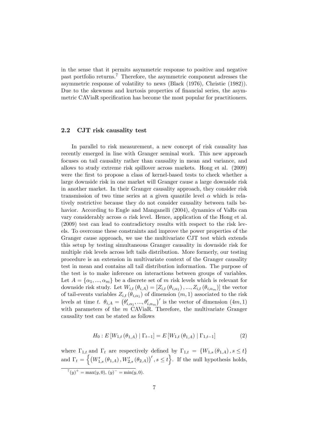in the sense that it permits asymmetric response to positive and negative past portfolio returns.[7](#page-7-0) Therefore, the asymmetric component adresses the asymmetric response of volatility to news (Black (1976), Christie (1982)). Due to the skewness and kurtosis properties of financial series, the asymmetric CAViaR specification has become the most popular for practitioners.

#### 2.2 CJT risk causality test

In parallel to risk measurement, a new concept of risk causality has recently emerged in line with Granger seminal work. This new approach focuses on tail causality rather than causality in mean and variance, and allows to study extreme risk spillover across markets. Hong et al. (2009) were the first to propose a class of kernel-based tests to check whether a large downside risk in one market will Granger cause a large downside risk in another market. In their Granger causality approach, they consider risk transmission of two time series at a given quantile level  $\alpha$  which is relatively restrictive because they do not consider causality between tails behavior. According to Engle and Manganelli (2004), dynamics of VaRs can vary considerably across  $\alpha$  risk level. Hence, application of the Hong et al. (2009) test can lead to contradictory results with respect to the risk levels. To overcome these constraints and improve the power properties of the Granger cause approach, we use the multivariate CJT test which extends this setup by testing simultaneous Granger causality in downside risk for multiple risk levels across left tails distribution. More formerly, our testing procedure is an extension in multivariate context of the Granger causality test in mean and contains all tail distribution information. The purpose of the test is to make inference on interactions between groups of variables. Let  $A = \{\alpha_1, ..., \alpha_m\}$  be a discrete set of m risk levels which is relevant for downside risk study. Let  $W_{i,t}(\theta_{i,A}) = [Z_{i,t}(\theta_{i,\alpha_1}),..., Z_{i,t}(\theta_{i,\alpha_m})]$  the vector of tail-events variables  $Z_{i,t}(\theta_{i,\alpha_1})$  of dimension  $(m,1)$  associated to the risk levels at time t.  $\theta_{i,A} = (\theta'_{i,\alpha_1},...,\theta'_{i,\alpha_m})'$  is the vector of dimension  $(4m, 1)$ with parameters of the  $m$  CAViaR. Therefore, the multivariate Granger causality test can be stated as follows

$$
H_0: E[W_{1,t}(\theta_{1,A}) | \Gamma_{t-1}] = E[W_{1,t}(\theta_{1,A}) | \Gamma_{1,t-1}]
$$
 (2)

where  $\Gamma_{1,t}$  and  $\Gamma_t$  are respectively defined by  $\Gamma_{1,t} = \{W_{1,s}(\theta_{1,A}), s \leq t\}$ and  $\Gamma_t = \left\{ (W'_{1,s}(\theta_{1,A}), W'_{2,s}(\theta_{2,A}))', s \leq t \right\}$ . If the null hypothesis holds,

<span id="page-7-0"></span> $^{7}(y)^{+} = \max(y, 0), (y)^{-} = \min(y, 0).$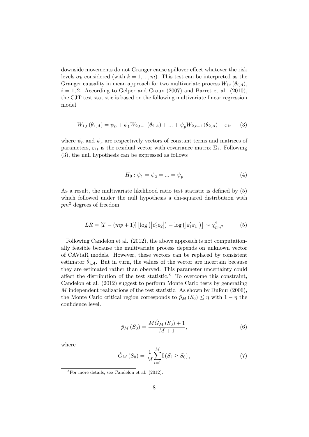downside movements do not Granger cause spillover effect whatever the risk levels  $\alpha_k$  considered (with  $k = 1, ..., m$ ). This test can be interpreted as the Granger causality in mean approach for two multivariate process  $W_{i,t}(\theta_{i,A}),$  $i = 1, 2$ . According to Gelper and Croux (2007) and Barret et al. (2010), the CJT test statistic is based on the following multivariate linear regression model

<span id="page-8-0"></span>
$$
W_{1,t}(\theta_{1,A}) = \psi_0 + \psi_1 W_{2,t-1}(\theta_{2,A}) + \dots + \psi_p W_{2,t-1}(\theta_{2,A}) + \varepsilon_{1t} \tag{3}
$$

where  $\psi_0$  and  $\psi_s$  are respectively vectors of constant terms and matrices of parameters,  $\varepsilon_{1t}$  is the residual vector with covariance matrix  $\Sigma_1$ . Following [\(3\)](#page-8-0), the null hypothesis can be expressed as follows

$$
H_0: \psi_1 = \psi_2 = \dots = \psi_p \tag{4}
$$

As a result, the multivariate likelihood ratio test statistic is defined by  $(5)$ which followed under the null hypothesis a chi-squared distribution with  $pm^2$  degrees of freedom

<span id="page-8-1"></span>
$$
LR = [T - (mp + 1)] \left[ \log \left( \left| \varepsilon_2' \varepsilon_2 \right| \right) - \log \left( \left| \varepsilon_1' \varepsilon_1 \right| \right) \right] \sim \chi_{pm^2}^2 \tag{5}
$$

Following Candelon et al. (2012), the above approach is not computationally feasible because the multivariate process depends on unknown vector of CAViaR models. However, these vectors can be replaced by consistent estimator  $\theta_{i,A}$ . But in turn, the values of the vector are incertain because they are estimated rather than oberved. This parameter uncertainty could affect the distribution of the test statistic.<sup>[8](#page-8-2)</sup> To overcome this constraint, Candelon et al. (2012) suggest to perform Monte Carlo tests by generating M independent realizations of the test statistic. As shown by Dufour (2006), the Monte Carlo critical region corresponds to  $\hat{p}_M (S_0) \leq \eta$  with  $1 - \eta$  the confidence level.

$$
\hat{p}_M\left(S_0\right) = \frac{M\hat{G}_M\left(S_0\right) + 1}{M + 1},\tag{6}
$$

where

$$
\hat{G}_M(S_0) = \frac{1}{M} \sum_{i=1}^{M} \mathbb{I}(S_i \ge S_0), \qquad (7)
$$

<span id="page-8-2"></span> $8\,\text{For more details, see Candelon et al. (2012).}$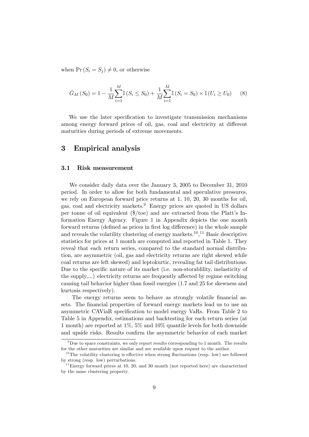when  $Pr(S_i = S_j) \neq 0$ , or otherwise

$$
\hat{G}_M(S_0) = 1 - \frac{1}{M} \sum_{i=1}^{M} \mathbb{I}(S_i \le S_0) + \frac{1}{M} \sum_{i=1}^{M} \mathbb{I}(S_i = S_0) \times \mathbb{I}(U_i \ge U_0)
$$
(8)

We use the later specification to investigate transmission mechanisms among energy forward prices of oil, gas, coal and electricity at different maturities during periods of extreme movements.

### 3 Empirical analysis

#### 3.1 Risk measurement

We consider daily data over the January 3, 2005 to December 31, 2010 period. In order to allow for both fundamental and speculative pressures, we rely on European forward price returns at 1, 10, 20, 30 months for oil, gas, coal and electricity markets.[9](#page-9-0) Energy prices are quoted in US dollars per tonne of oil equivalent  $(\frac{2}{\pi})$  and are extracted from the Platt's Information Energy Agency. Figure 1 in Appendix depicts the one month forward returns (defined as prices in first log difference) in the whole sample and reveals the volatility clustering of energy markets.<sup>[10](#page-9-1)</sup>,<sup>[11](#page-9-2)</sup> Basic descriptive statistics for prices at 1 month are computed and reported in Table [1.](#page-10-0) They reveal that each return series, compared to the standard normal distribution, are asymmetric (oil, gas and electricity returns are right skewed while coal returns are left skewed) and leptokurtic, revealing fat tail distributions. Due to the specific nature of its market (i.e. non-storability, inelasticity of the supply,...) electricity returns are frequently affected by regime switching causing tail behavior higher than fossil energies (1.7 and 25 for skewness and kurtosis respectively).

The energy returns seem to behave as strongly volatile financial assets. The financial properties of forward energy markets lead us to use an asymmetric CAViaR specification to model energy VaRs. From Table [2](#page-19-0) to Table [5](#page-20-0) in Appendix, estimations and backtesting for each return series (at 1 month) are reported at  $1\%$ ,  $5\%$  and  $10\%$  quantile levels for both downside and upside risks. Results confirm the asymmetric behavior of each market

<span id="page-9-0"></span> $9^9$ Due to space constraints, we only report results corresponding to 1 month. The results for the other maturities are similar and are available upon request to the author.

<span id="page-9-1"></span> $10$ The volatility clustering is effective when strong fluctuations (resp. low) are followed by strong (resp. low) perturbations.

<span id="page-9-2"></span> $11$ Energy forward prices at 10, 20, and 30 month (not reported here) are characterized by the same clustering property.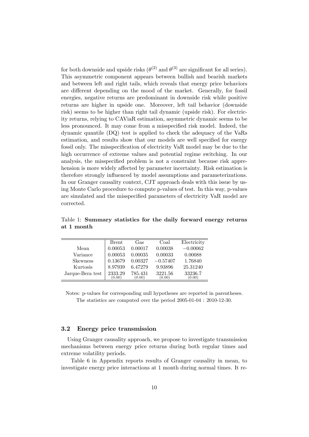for both downside and upside risks  $(\theta^{(2)}$  and  $\theta^{(3)}$  are significant for all series). This asymmetric component appears between bullish and bearish markets and between left and right tails, which reveals that energy price behaviors are different depending on the mood of the market. Generally, for fossil energies, negative returns are predominant in downside risk while positive returns are higher in upside one. Moreover, left tail behavior (downside risk) seems to be higher than right tail dynamic (upside risk). For electricity returns, relying to CAViaR estimation, asymmetric dynamic seems to be less pronounced. It may come from a misspecified risk model. Indeed, the dynamic quantile (DQ) test is applied to check the adequacy of the VaRs estimation, and results show that our models are well specified for energy fossil only. The misspecification of electricity VaR model may be due to the high occurrence of extreme values and potential regime switching. In our analysis, the misspecified problem is not a constraint because risk apprehension is more widely affected by parameter incertainty. Risk estimation is therefore strongly influenced by model assumptions and parameterizations. In our Granger causality context, CJT approach deals with this issue by using Monte Carlo procedure to compute p-values of test. In this way, p-values are simulated and the misspecified parameters of electricity VaR model are corrected.

|                  | <b>Brent</b>      | Gas               | Coal              | Electricity       |
|------------------|-------------------|-------------------|-------------------|-------------------|
| Mean             | 0.00053           | 0.00017           | 0.00038           | $-0.00062$        |
| Variance         | 0.00053           | 0.00035           | 0.00033           | 0.00088           |
| <b>Skewness</b>  | 0.13679           | 0.00327           | $-0.57407$        | 1.76840           |
| Kurtosis         | 8.97939           | 6.47279           | 9.93896           | 25.31240          |
| Jarque-Bera test | 2333.29<br>(0.00) | 785.431<br>(0.00) | 3221.56<br>(0.00) | 33236.7<br>(0.00) |

<span id="page-10-0"></span>Table 1: Summary statistics for the daily forward energy returns at 1 month

Notes: p-values for corresponding null hypotheses are reported in parentheses. The statistics are computed over the period 2005-01-04 : 2010-12-30.

#### 3.2 Energy price transmission

Using Granger causality approach, we propose to investigate transmission mechanisms between energy price returns during both regular times and extreme volatility periods.

Table [6](#page-21-0) in Appendix reports results of Granger causality in mean, to investigate energy price interactions at 1 month during normal times. It re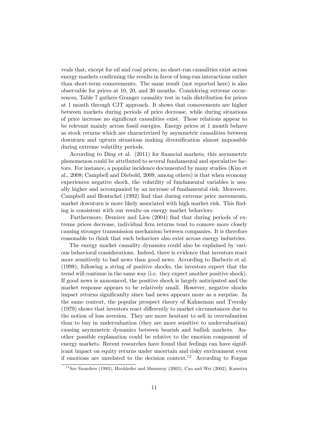veals that, except for oil and coal prices, no short-run causalities exist across energy markets confirming the results in favor of long-run interactions rather than short-term comovements. The same result (not reported here) is also observable for prices at 10, 20, and 30 months. Considering extreme occurrences, Table [7](#page-21-1) gathers Granger causality test in tails distribution for prices at 1 month through CJT approach. It shows that comovements are higher between markets during periods of price decrease, while during situations of price increase no significant causalities exist. These relations appear to be relevant mainly across fossil energies. Energy prices at 1 month behave as stock returns which are characterized by asymmetric causalities between downturn and upturn situations making diversification almost impossible during extreme volatility periods.

According to Ding et al. (2011) for financial markets, this asymmetric phenomenon could be attributed to several fundamental and speculative factors. For instance, a popular incidence documented by many studies (Kim et al., 2008; Campbell and Diebold, 2009, among others) is that when economy experiences negative shock, the volatility of fundamental variables is usually higher and accompanied by an increase of fundamental risk. Moreover, Campbell and Hentschel (1992) find that during extreme price movements, market downturn is more likely associated with high market risk. This finding is consistent with our results on energy market behaviors.

Furthermore, Demirer and Lien (2004) find that during periods of extreme prices decrease, individual firm returns tend to comove more closely causing stronger transmission mechanism between companies. It is therefore reasonable to think that such behaviors also exist across energy industries.

The energy market causality dynamics could also be explained by various behavioral considerations. Indeed, there is evidence that investors react more sensitively to bad news than good news. According to Barberis et al. (1998), following a string of positive shocks, the investors expect that the trend will continue in the same way (i.e. they expect another positive shock). If good news is announced, the positive shock is largely anticipated and the market response appears to be relatively small. However, negative shocks impact returns significantly since bad news appears more as a surprise. In the same context, the popular prospect theory of Kahneman and Tversky  $(1979)$  shows that investors react differently to market circumstances due to the notion of loss aversion. They are more hesitant to sell in overvaluation than to buy in undervaluation (they are more sensitive to undervaluation) causing asymmetric dynamics between bearish and bullish markets. Another possible explanation could be relative to the emotion component of energy markets. Recent researches have found that feelings can have significant impact on equity returns under uncertain and risky environment even if emotions are unrelated to the decision context.<sup>[12](#page-11-0)</sup> According to Forgas

<span id="page-11-0"></span> $12$ See Saunders (1993), Hirshleifer and Shumway (2003), Cao and Wei (2002), Kamstra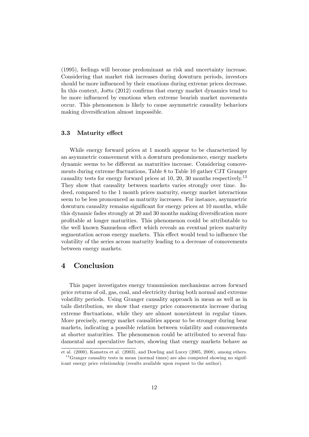(1995), feelings will become predominant as risk and uncertainty increase. Considering that market risk increases during downturn periods, investors should be more influenced by their emotions during extreme prices decrease. In this context, Joëts  $(2012)$  confirms that energy market dynamics tend to be more influenced by emotions when extreme bearish market movements occur. This phenomenon is likely to cause asymmetric causality behaviors making diversification almost impossible.

#### 3.3 Maturity effect

While energy forward prices at 1 month appear to be characterized by an asymmetric comovement with a downturn predominence, energy markets dynamic seems to be different as maturities increase. Considering comove-ments during extreme fluctuations, Table [8](#page-22-0) to Table [10](#page-24-0) gather CJT Granger causality tests for energy forward prices at 10, 20, 30 months respectively.<sup>[13](#page-12-0)</sup> They show that causality between markets varies strongly over time. Indeed, compared to the 1 month prices maturity, energy market interactions seem to be less pronounced as maturity increases. For instance, asymmetric downturn causality remains significant for energy prices at 10 months, while this dynamic fades strongly at 20 and 30 months making diversification more profitable at longer maturities. This phenomenon could be attributable to the well known Samuelson effect which reveals an eventual prices maturity segmentation across energy markets. This effect would tend to influence the volatility of the series across maturity leading to a decrease of comovements between energy markets.

### 4 Conclusion

This paper investigates energy transmission mechanisms across forward price returns of oil, gas, coal, and electricity during both normal and extreme volatility periods. Using Granger causality approach in mean as well as in tails distribution, we show that energy price comovements increase during extreme fluctuations, while they are almost nonexistent in regular times. More precisely, energy market causalities appear to be stronger during bear markets, indicating a possible relation between volatility and comovements at shorter maturities. The phenomenon could be attributed to several fundamental and speculative factors, showing that energy markets behave as

<span id="page-12-0"></span>et al. (2000), Kamstra et al. (2003), and Dowling and Lucey (2005, 2008), among others.  $13$ Granger causality tests in mean (normal times) are also computed showing no significant energy price relationship (results available upon request to the author).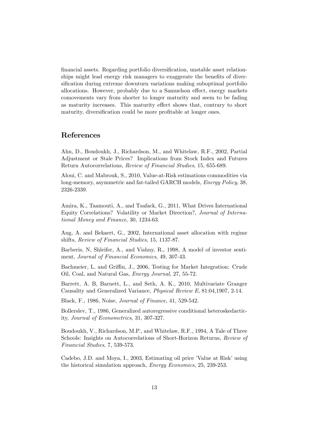financial assets. Regarding portfolio diversification, unstable asset relationships might lead energy risk managers to exaggerate the benefits of diversification during extreme downturn variations making suboptimal portfolio allocations. However, probably due to a Samuelson effect, energy markets comovements vary from shorter to longer maturity and seem to be fading as maturity increases. This maturity effect shows that, contrary to short maturity, diversification could be more profitable at longer ones.

# References

Ahn, D., Boudoukh, J., Richardson, M., and Whitelaw, R.F., 2002, Partial Adjustment or Stale Prices? Implications from Stock Index and Futures Return Autocorrelations, Review of Financial Studies, 15, 655-689.

Aloui, C. and Mabrouk, S., 2010, Value-at-Risk estimations commodities via long-memory, asymmetric and fat-tailed GARCH models, Energy Policy, 38, 2326-2339.

Amira, K., Taamouti, A., and Tsafack, G., 2011, What Drives International Equity Correlations? Volatility or Market Direction?, Journal of International Money and Finance, 30, 1234-63.

Ang, A. and Bekaert, G., 2002, International asset allocation with regime shifts, Review of Financial Studies, 15, 1137-87.

Barberis, N, Shleifer, A., and Vishny, R., 1998, A model of investor sentiment, Journal of Financial Economics, 49, 307-43.

Bachmeier, L. and Griffin, J., 2006, Testing for Market Integration: Crude Oil, Coal, and Natural Gas, Energy Journal, 27, 55-72.

Barrett, A. B, Barnett, L., and Seth, A. K., 2010, Multivariate Granger Causality and Generalized Variance, Physical Review E, 81:04,1907, 2-14.

Black, F., 1986, Noise, Journal of Finance, 41, 529-542.

Bollerslev, T., 1986, Generalized autoregressive conditional heteroskedacticity, Journal of Econometrics, 31, 307-327.

Boudoukh, V., Richardson, M.P., and Whitelaw, R.F., 1994, A Tale of Three Schools: Insights on Autocorrelations of Short-Horizon Returns, Review of Financial Studies, 7, 539-573.

Cadebo, J.D. and Moya, I., 2003, Estimating oil price 'Value at Risk' using the historical simulation approach, Energy Economics, 25, 239-253.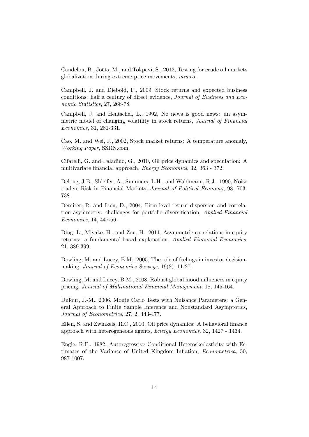Candelon, B., Joëts, M., and Tokpavi, S., 2012, Testing for crude oil markets globalization during extreme price movements, mimeo.

Campbell, J. and Diebold, F., 2009, Stock returns and expected business conditions: half a century of direct evidence, Journal of Business and Economic Statistics, 27, 266-78.

Campbell, J. and Hentschel, L., 1992, No news is good news: an asymmetric model of changing volatility in stock returns, *Journal of Financial* Economics, 31, 281-331.

Cao, M. and Wei, J., 2002, Stock market returns: A temperature anomaly, Working Paper, SSRN.com.

Cifarelli, G. and Paladino, G., 2010, Oil price dynamics and speculation: A multivariate financial approach, *Energy Economics*, 32, 363 - 372.

Delong, J.B., Shleifer, A., Summers, L.H., and Waldmann, R.J., 1990, Noise traders Risk in Financial Markets, Journal of Political Economy, 98, 703- 738.

Demirer, R. and Lien, D., 2004, Firm-level return dispersion and correlation asymmetry: challenges for portfolio diversification, Applied Financial Economics, 14, 447-56.

Ding, L., Miyake, H., and Zou, H., 2011, Asymmetric correlations in equity returns: a fundamental-based explanation, Applied Financial Economics, 21, 389-399.

Dowling, M. and Lucey, B.M., 2005, The role of feelings in investor decisionmaking, Journal of Economics Surveys, 19(2), 11-27.

Dowling, M. and Lucey, B.M., 2008, Robust global mood influences in equity pricing, Journal of Multinational Financial Management, 18, 145-164.

Dufour, J.-M., 2006, Monte Carlo Tests with Nuisance Parameters: a General Approach to Finite Sample Inference and Nonstandard Asymptotics, Journal of Econometrics, 27, 2, 443-477.

Ellen, S. and Zwinkels, R.C., 2010, Oil price dynamics: A behavioral finance approach with heterogeneous agents, Energy Economics, 32, 1427 - 1434.

Engle, R.F., 1982, Autoregressive Conditional Heteroskedasticity with Estimates of the Variance of United Kingdom Inflation, *Econometrica*, 50, 987-1007.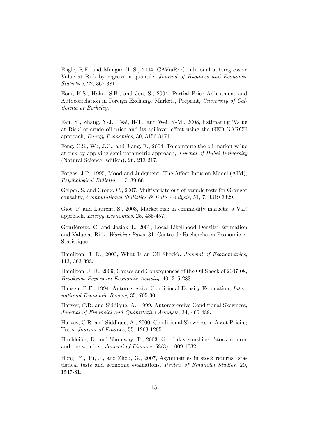Engle, R.F. and Manganelli S., 2004, CAViaR: Conditional autoregressive Value at Risk by regression quantile, Journal of Business and Economic Statistics, 22, 367-381.

Eom, K.S., Hahn, S.B., and Joo, S., 2004, Partial Price Adjustment and Autocorrelation in Foreign Exchange Markets, Preprint, University of California at Berkeley.

Fan, Y., Zhang, Y-J., Tsai, H-T., and Wei, Y-M., 2008, Estimating 'Value at Risk' of crude oil price and its spillover effect using the GED-GARCH approach, Energy Economics, 30, 3156-3171.

Feng, C.S., Wu, J.C., and Jiang, F., 2004, To compute the oil market value at risk by applying semi-parametric approach, Journal of Hubei University (Natural Science Edition), 26, 213-217.

Forgas, J.P., 1995, Mood and Judgment: The Affect Infusion Model (AIM), Psychological Bulletin, 117, 39-66.

Gelper, S. and Croux, C., 2007, Multivariate out-of-sample tests for Granger causality, Computational Statistics & Data Analysis, 51, 7, 3319-3329.

Giot, P. and Laurent, S., 2003, Market risk in commodity markets: a VaR approach, Energy Economics, 25, 435-457.

Gouriéroux, C. and Jasiak J., 2001, Local Likelihood Density Estimation and Value at Risk, Working Paper 31, Centre de Recherche en Economie et Statistique.

Hamilton, J. D., 2003, What Is an Oil Shock?, Journal of Econometrics, 113, 363-398.

Hamilton, J. D., 2009, Causes and Consequences of the Oil Shock of 2007-08, Brookings Papers on Economic Activity, 40, 215-283.

Hansen, B.E., 1994, Autoregressive Conditional Density Estimation, International Economic Review, 35, 705-30.

Harvey, C.R. and Siddique, A., 1999, Autoregressive Conditional Skewness, Journal of Financial and Quantitative Analysis, 34, 465-488.

Harvey, C.R. and Siddique, A., 2000, Conditional Skewness in Asset Pricing Tests, Journal of Finance, 55, 1263-1295.

Hirshleifer, D. and Shumway, T., 2003, Good day sunshine: Stock returns and the weather, Journal of Finance, 58(3), 1009-1032.

Hong, Y., Tu, J., and Zhou, G., 2007, Asymmetries in stock returns: statistical tests and economic evaluations, Review of Financial Studies, 20, 1547-81.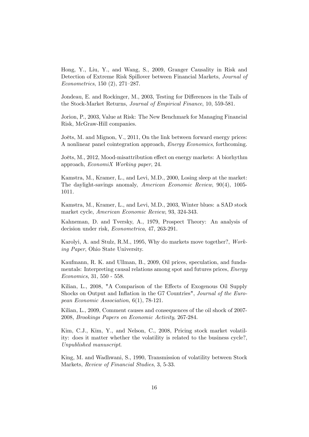Hong, Y., Liu, Y., and Wang, S., 2009, Granger Causality in Risk and Detection of Extreme Risk Spillover between Financial Markets, Journal of Econometrics, 150  $(2)$ , 271–287.

Jondeau, E. and Rockinger, M., 2003, Testing for Differences in the Tails of the Stock-Market Returns, Journal of Empirical Finance, 10, 559-581.

Jorion, P., 2003, Value at Risk: The New Benchmark for Managing Financial Risk, McGraw-Hill companies.

Joëts, M. and Mignon, V., 2011, On the link between forward energy prices: A nonlinear panel cointegration approach, Energy Economics, forthcoming.

Joëts, M., 2012, Mood-misattribution effect on energy markets: A biorhythm approach, EconomiX Working paper, 24.

Kamstra, M., Kramer, L., and Levi, M.D., 2000, Losing sleep at the market: The daylight-savings anomaly, American Economic Review, 90(4), 1005- 1011.

Kamstra, M., Kramer, L., and Levi, M.D., 2003, Winter blues: a SAD stock market cycle, American Economic Review, 93, 324-343.

Kahneman, D. and Tversky, A., 1979, Prospect Theory: An analysis of decision under risk, Econometrica, 47, 263-291.

Karolyi, A. and Stulz, R.M., 1995, Why do markets move together?, Working Paper, Ohio State University.

Kaufmann, R. K. and Ullman, B., 2009, Oil prices, speculation, and fundamentals: Interpreting causal relations among spot and futures prices, Energy Economics, 31, 550 - 558.

Kilian, L., 2008, "A Comparison of the Effects of Exogenous Oil Supply Shocks on Output and Inflation in the G7 Countries", Journal of the European Economic Association, 6(1), 78-121.

Kilian, L., 2009, Comment causes and consequences of the oil shock of 2007- 2008, Brookings Papers on Economic Activity, 267-284.

Kim, C.J., Kim, Y., and Nelson, C., 2008, Pricing stock market volatility: does it matter whether the volatility is related to the business cycle?, Unpublished manuscript.

King, M. and Wadhwani, S., 1990, Transmission of volatility between Stock Markets, Review of Financial Studies, 3, 5-33.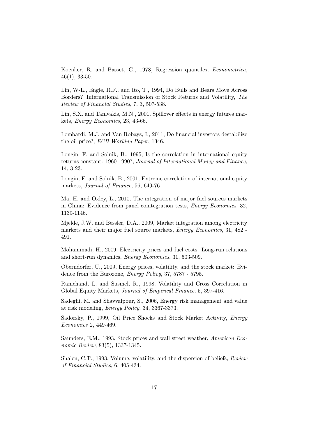Koenker, R. and Basset, G., 1978, Regression quantiles, Econometrica, 46(1), 33-50.

Lin, W-L., Engle, R.F., and Ito, T., 1994, Do Bulls and Bears Move Across Borders? International Transmission of Stock Returns and Volatility, The Review of Financial Studies, 7, 3, 507-538.

Lin, S.X. and Tamvakis, M.N., 2001, Spillover effects in energy futures markets, Energy Economics, 23, 43-66.

Lombardi, M.J. and Van Robays, I., 2011, Do financial investors destabilize the oil price?, ECB Working Paper, 1346.

Longin, F. and Solnik, B., 1995, Is the correlation in international equity returns constant: 1960-1990?, Journal of International Money and Finance, 14, 3-23.

Longin, F. and Solnik, B., 2001, Extreme correlation of international equity markets, Journal of Finance, 56, 649-76.

Ma, H. and Oxley, L., 2010, The integration of major fuel sources markets in China: Evidence from panel cointegration tests, Energy Economics, 32, 1139-1146.

Mjelde, J.W. and Bessler, D.A., 2009, Market integration among electricity markets and their major fuel source markets, Energy Economics, 31, 482 - 491.

Mohammadi, H., 2009, Electricity prices and fuel costs: Long-run relations and short-run dynamics, Energy Economics, 31, 503-509.

Oberndorfer, U., 2009, Energy prices, volatility, and the stock market: Evidence from the Eurozone, Energy Policy, 37, 5787 - 5795.

Ramchand, L. and Susmel, R., 1998, Volatility and Cross Correlation in Global Equity Markets, Journal of Empirical Finance, 5, 397-416.

Sadeghi, M. and Shavvalpour, S., 2006, Energy risk management and value at risk modeling, Energy Policy, 34, 3367-3373.

Sadorsky, P., 1999, Oil Price Shocks and Stock Market Activity, Energy Economics 2, 449-469.

Saunders, E.M., 1993, Stock prices and wall street weather, American Economic Review, 83(5), 1337-1345.

Shalen, C.T., 1993, Volume, volatility, and the dispersion of beliefs, Review of Financial Studies, 6, 405-434.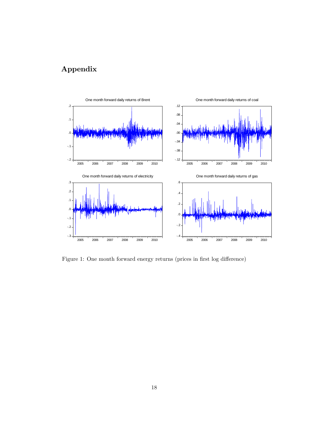# Appendix



Figure 1: One month forward energy returns (prices in first log difference)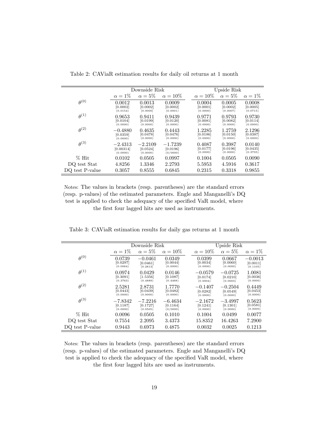|                 |                                    | Downside Risk                     |                                   | Upside Risk                    |                                |                                |
|-----------------|------------------------------------|-----------------------------------|-----------------------------------|--------------------------------|--------------------------------|--------------------------------|
|                 | $\alpha = 1\%$                     | $\alpha = 5\%$                    | $\alpha = 10\%$                   | $\alpha = 10\%$                | $\alpha = 5\%$                 | $\alpha = 1\%$                 |
| $\theta^{(0)}$  | 0.0012<br>[0.0002]<br>(0.0154)     | 0.0013<br>[0.0002]<br>[0.0000]    | 0.0009<br>[0.0002]<br>(0.0001)    | 0.0004<br>[0.0001]<br>(0.0000) | 0.0005<br>[0.0002]<br>(0.0007) | 0.0008<br>[0.0005]<br>(0.0715) |
| $\theta^{(1)}$  | 0.9653<br>[0.0104]<br>(0.0000)     | 0.9411<br>[0.0199]<br>(0.0000)    | 0.9439<br>[0.0120]<br>(0.0000)    | 0.9771<br>[0.0081]<br>(0.0000) | 0.9793<br>[0.0082]<br>(0.0000) | 0.9730<br>[0.0114]<br>(0.0000) |
| $heta^{(2)}$    | $-0.4880$<br>[0.0359]<br>(0.0000)  | 0.4635<br>[0.0478]<br>(0.0000)    | 0.4443<br>[0.0476]<br>(0.0000)    | 1.2285<br>[0.0186]<br>(0.0000) | 1.2759<br>[0.0150]<br>(0.0000) | 2.1296<br>[0.0387]<br>(0.0000) |
| $heta^{(3)}$    | $-2.4313$<br>[0.00314]<br>(0.0000) | $-2.2109$<br>[0.0524]<br>(0.0000) | $-1.7239$<br>[0.0196]<br>(0/0000) | 0.4087<br>[0.0177]<br>(0.0000) | 0.3987<br>[0.0196]<br>(0.0000) | 0.0140<br>[0.0435]<br>(0.3735) |
| $%$ Hit         | 0.0102                             | 0.0505                            | 0.0997                            | 0.1004                         | 0.0505                         | 0.0090                         |
| DQ test Stat    | 4.8256                             | 1.3346                            | 2.2793                            | 5.5953                         | 4.5916                         | 0.3617                         |
| DQ test P-value | 0.3057                             | 0.8555                            | 0.6845                            | 0.2315                         | 0.3318                         | 0.9855                         |

<span id="page-19-0"></span>Table 2: CAViaR estimation results for daily oil returns at 1 month

Notes: The values in brackets (resp. parentheses) are the standard errors (resp. p-values) of the estimated parameters. Engle and Manganelliís DQ test is applied to check the adequacy of the specified VaR model, where the first four lagged hits are used as instruments.

|                 |                                   | Downside Risk                     |                                   | Upside Risk                       |                                   |                                   |
|-----------------|-----------------------------------|-----------------------------------|-----------------------------------|-----------------------------------|-----------------------------------|-----------------------------------|
|                 | $\alpha=1\%$                      | $\alpha=5\%$                      | $\alpha = 10\%$                   | $\alpha = 10\%$                   | $\alpha=5\%$                      | $\alpha=1\%$                      |
| $heta^{(0)}$    | 0.0739<br>[0.0297]<br>(0.0064)    | $-0.0461$<br>[0.0461]<br>[0.2813] | 0.0349<br>[0.0044]<br>(0.0000)    | 0.0399<br>[0.0034]<br>(0.0000)    | 0.0667<br>[0.0060]<br>(0.0000)    | $-0.0013$<br>[0.0011]<br>(0.1105) |
| $\theta^{(1)}$  | 0.0974<br>[0.3091]<br>(0.3763)    | 0.0429<br>[1.5356]<br>(0.4889)    | 0.0146<br>[0.1087]<br>(0.4468)    | $-0.0579$<br>[0.0174]<br>(0.0004) | $-0.0725$<br>[0.0210]<br>(0.0003) | 1.0081<br>[0.0036]<br>(0.0000)    |
| $heta^{(2)}$    | 2.5281<br>[0.0443]<br>(0.0000)    | 2.8731<br>[0.0439]<br>(0.0000)    | 1.7770<br>[0.0482]<br>(0.0000)    | $-0.1407$<br>[0.0282]<br>(0.0000) | $-0.2504$<br>[0.0549]<br>(0.0000) | 0.4449<br>[0.0453]<br>(0.0000)    |
| $heta^{(3)}$    | $-7.8342$<br>[0.1187]<br>(0.0000) | $-7.2216$<br>[0.1727]<br>(0.0505) | $-6.4634$<br>[0.1164]<br>(0/0000) | $-2.1672$<br>[0.1241]<br>(0.0000) | $-3.4997$<br>[0.1301]<br>(0.0000) | 0.5623<br>[0.0581]<br>(0.0000)    |
| $%$ Hit         | 0.0096                            | 0.0505                            | 0.1010                            | 0.1004                            | 0.0499                            | 0.0077                            |
| DQ test Stat    | 0.7554                            | 2.2095                            | 3.4373                            | 15.8352                           | 16.4263                           | 7.2900                            |
| DO test P-value | 0.9443                            | 0.6973                            | 0.4875                            | 0.0032                            | 0.0025                            | 0.1213                            |

Table 3: CAViaR estimation results for daily gas returns at 1 month

Notes: The values in brackets (resp. parentheses) are the standard errors (resp. p-values) of the estimated parameters. Engle and Manganelliís DQ test is applied to check the adequacy of the specified VaR model, where the first four lagged hits are used as instruments.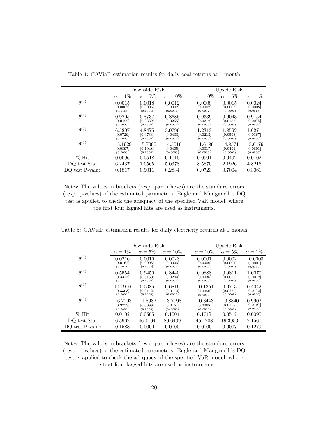|                 |                                   | Downside Risk                     |                                   | Upside Risk                       |                                   |                                   |
|-----------------|-----------------------------------|-----------------------------------|-----------------------------------|-----------------------------------|-----------------------------------|-----------------------------------|
|                 | $\alpha = 1\%$                    | $\alpha=5\%$                      | $\alpha = 10\%$                   | $\alpha = 10\%$                   | $\alpha = 5\%$                    | $\alpha=1\%$                      |
| $heta^{(0)}$    | 0.0015<br>[0.0007]<br>(0.0166)    | 0.0018<br>[0.0005]<br>[0.0001]    | 0.0012<br>[0.0002]<br>(0.0000)    | 0.0008<br>[0.0002]<br>(0.0002)    | 0.0015<br>[0.0003]<br>(0.0000)    | 0.0024<br>[0.0008]<br>(0.0018)    |
| $\theta^{(1)}$  | 0.9205<br>[0.0422]<br>(0.0000)    | 0.8737<br>[0.0339]<br>(0.0000)    | 0.8685<br>[0.0255]<br>(0.0000)    | 0.9339<br>[0.0212]<br>(0.0000)    | 0.9043<br>[0.0187]<br>(0.0000)    | 0.9154<br>[0.0275]<br>(0.0000)    |
| $\theta^{(2)}$  | 6.5207<br>[0.0729]<br>(0.0000)    | 4.8475<br>[0.0733]<br>(0.0000)    | 3.0796<br>[0.0433]<br>(0.0000)    | 1.2313<br>[0.0213]<br>(0.0000)    | 1.8592<br>[0.0593]<br>(0.0000)    | 1.6271<br>[0.0367]<br>(0.0000)    |
| $heta^{(3)}$    | $-5.1929$<br>[0.0897]<br>(0.0000) | $-5.7090$<br>[0.1048]<br>(0.0000) | $-4.5016$<br>[0.0405]<br>(0/0000) | $-1.6186$<br>[0.0317]<br>(0.0000) | $-4.8571$<br>[0.0491]<br>(0.0000) | $-5.6179$<br>[0.0801]<br>(0.0000) |
| $\%$ Hit        | 0.0096                            | 0.0518                            | 0.1010                            | 0.0991                            | 0.0492                            | 0.0102                            |
| DQ test Stat    | 6.2437                            | 1.0565                            | 5.0378                            | 8.5870                            | 2.1926                            | 4.8216                            |
| DQ test P-value | 0.1817                            | 0.9011                            | 0.2834                            | 0.0723                            | 0.7004                            | 0.3061                            |

Table 4: CAViaR estimation results for daily coal returns at 1 month

Notes: The values in brackets (resp. parentheses) are the standard errors (resp. p-values) of the estimated parameters. Engle and Manganelliís DQ test is applied to check the adequacy of the specified VaR model, where the first four lagged hits are used as instruments.

<span id="page-20-0"></span>Table 5: CAViaR estimation results for daily electricity returns at 1 month

|                 |                                   | Downside Risk                     |                                   | Upside Risk                       |                                   |                                   |  |
|-----------------|-----------------------------------|-----------------------------------|-----------------------------------|-----------------------------------|-----------------------------------|-----------------------------------|--|
|                 | $\alpha = 1\%$                    | $\alpha = 5\%$                    | $\alpha = 10\%$                   | $\alpha = 10\%$                   | $\alpha = 5\%$                    | $\alpha = 1\%$                    |  |
| $\theta^{(0)}$  | 0.0216<br>[0.0162]<br>(0.0911)    | 0.0010<br>[0.0003]<br>[0.0003]    | 0.0023<br>[0.0003]<br>(0.0000)    | 0.0001<br>[0.0000]<br>(0.0000)    | 0.0002<br>[0.0001]<br>(0.0001)    | $-0.0003$<br>[0.0001]<br>(0.0150) |  |
| $\theta^{(1)}$  | 0.5554<br>[0.3317]<br>(0.0470)    | 0.9450<br>[0.0150]<br>(0.0000)    | 0.8440<br>[0.0204]<br>(0.0000)    | 0.9888<br>[0.0036]<br>(0.0000)    | 0.9811<br>[0.0055]<br>(0.0000)    | 1.0070<br>[0.0012]<br>(0.0000)    |  |
| $heta^{(2)}$    | 10.1970<br>[0.3303]<br>(0.0000)   | 0.5385<br>[0.0142]<br>(0.0000)    | 0.6816<br>[0.0110]<br>(0.0000)    | $-0.1351$<br>[0.0050]<br>(0.0000) | 0.0713<br>[0.0229]<br>(0.0009)    | 0.4042<br>[0.0172]<br>(0.0000)    |  |
| $heta^{(3)}$    | $-6.2203$<br>[0.3773]<br>(0.0000) | $-1.8982$<br>[0.0099]<br>(0.0000) | $-3.7098$<br>[0.0151]<br>(0/0000) | $-0.3443$<br>[0.0068]<br>(0.0000) | $-0.8840$<br>[0.0159]<br>(0.0000) | 0.9902<br>[0.0197]<br>(0.0000)    |  |
| $%$ Hit         | 0.0102                            | 0.0505                            | 0.1004                            | 0.1017                            | 0.0512                            | 0.0090                            |  |
| DQ test Stat    | 6.5967                            | 46.4104                           | 80.6409                           | 45.1708                           | 19.3953                           | 7.1560                            |  |
| DQ test P-value | 0.1588                            | 0.0000                            | 0.0000                            | 0.0000                            | 0.0007                            | 0.1279                            |  |

Notes: The values in brackets (resp. parentheses) are the standard errors (resp. p-values) of the estimated parameters. Engle and Manganelliís DQ test is applied to check the adequacy of the specified VaR model, where the first four lagged hits are used as instruments.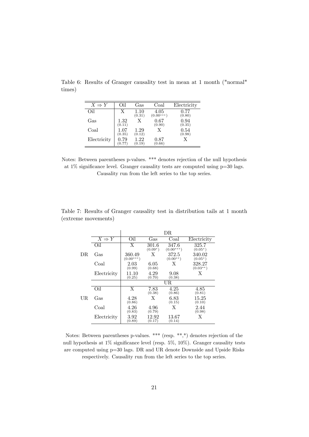<span id="page-21-0"></span>

| $X \Rightarrow Y$ | Oil                | Gas            | Coal                | Electricity        |
|-------------------|--------------------|----------------|---------------------|--------------------|
| Oil               | Х                  | 1.10<br>(0.31) | 4.05<br>$(0.00***)$ | 0.77<br>(0.80)     |
| $\rm Gas$         | $1.32\,$<br>(0.11) | X              | 0.67<br>(0.90)      | 0.94<br>(0.35)     |
| Coal              | 1.07<br>(0.35)     | 1.29<br>(0.12) | X                   | $0.54\,$<br>(0.98) |
| Electricity       | 0.79<br>(0.77)     | 1.22<br>(0.19) | 0.87<br>(0.66)      | X                  |

Table 6: Results of Granger causality test in mean at 1 month ("normal" times)

Notes: Between parentheses p-values. \*\*\* denotes rejection of the null hypothesis at  $1\%$  significance level. Granger causality tests are computed using  $p=30$  lags. Causality run from the left series to the top series.

|     |                   |                       |                    | DR.                  |                      |
|-----|-------------------|-----------------------|--------------------|----------------------|----------------------|
|     | $X \Rightarrow Y$ | Oil                   | Gas                | Coal                 | Electricity          |
|     | Oil               | X                     | 301.6<br>$(0.09*)$ | 347.6<br>$(0.00***)$ | 325.7<br>$(0.05*)$   |
| DR  | Gas               | 360.49<br>$(0.00***)$ | X                  | 372.5<br>$(0.00**)$  | 340.02<br>$(0.05^*)$ |
|     | Coal              | 2.03<br>(0.99)        | 6.05<br>(0.68)     | X                    | 328.27<br>$(0.03**)$ |
|     | Electricity       | 11.10<br>(0.25)       | 4.29<br>(0.70)     | 9.08<br>(0.38)       | Х                    |
|     |                   |                       |                    | UR.                  |                      |
|     | Oil               | X                     | 7.83<br>(0.38)     | 4.25<br>(0.86)       | 4.85<br>(0.81)       |
| UR. | Gas               | 4.28<br>(0.86)        | X                  | 6.83<br>(0.15)       | 15.25<br>(0.10)      |
|     | Coal              | 4.26<br>(0.83)        | 4.96<br>(0.79)     | X                    | 2.44<br>(0.98)       |
|     | Electricity       | 3.92<br>(0.89)        | 12.92<br>(0.17)    | 13.67<br>(0.14)      | X                    |

<span id="page-21-1"></span>Table 7: Results of Granger causality test in distribution tails at 1 month (extreme movements)

Notes: Between parentheses p-values. \*\*\* (resp. \*\*,\*) denotes rejection of the null hypothesis at  $1\%$  significance level (resp.  $5\%, 10\%$ ). Granger causality tests are computed using p=30 lags. DR and UR denote Downside and Upside Risks respectively. Causality run from the left series to the top series.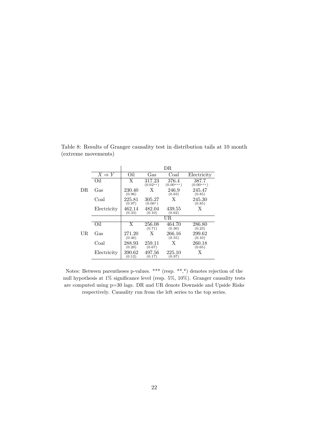|     |                   |                  |                      | DR                   |                      |
|-----|-------------------|------------------|----------------------|----------------------|----------------------|
|     | $X \Rightarrow Y$ | Oil              | Gas                  | Coal                 | Electricity          |
|     | Oil               | X                | 317.23<br>$(0.02**)$ | 376.4<br>$(0.00***)$ | 387.7<br>$(0.00***)$ |
| DR. | Gas               | 230.40<br>(0.96) | X                    | 246.9<br>(0.83)      | 245.47<br>(0.85)     |
|     | Coal              | 225.81<br>(0.97) | 305.27<br>$(0.06*)$  | Х                    | 245.30<br>(0.85)     |
|     | Electricity       | 462.14<br>(0.33) | 482.04<br>(0.10)     | 439.55<br>(0.62)     | X                    |
|     |                   |                  |                      | UR.                  |                      |
|     | Oil               | X                | 256.08<br>(0.71)     | 464.70<br>(0.30)     | 286.80<br>(0.23)     |
| UR  | Gas               | 271.20<br>(0.46) | X                    | 266.16<br>(0.55)     | 299.62<br>(0.10)     |
|     | Coal              | 288.93<br>(0.20) | 259.11<br>(0.67)     | X                    | 260.18<br>(0.65)     |
|     | Electricity       | 390.62<br>(0.12) | 497.56<br>(0.17)     | 225.10<br>(0.97)     | X                    |

<span id="page-22-0"></span>Table 8: Results of Granger causality test in distribution tails at 10 month (extreme movements)

Notes: Between parentheses p-values. \*\*\* (resp. \*\*,\*) denotes rejection of the null hypothesis at  $1\%$  significance level (resp.  $5\%, 10\%$ ). Granger causality tests are computed using p=30 lags. DR and UR denote Downside and Upside Risks respectively. Causality run from the left series to the top series.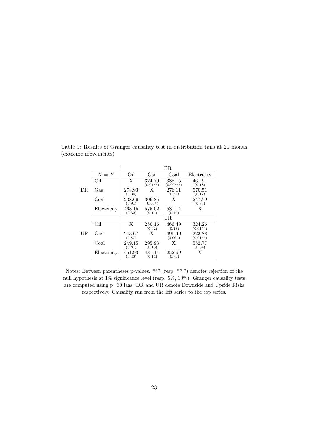|     |                   |                  |                      | DR                    |                      |
|-----|-------------------|------------------|----------------------|-----------------------|----------------------|
|     | $X \Rightarrow Y$ | Oil              | $\rm Gas$            | Coal                  | Electricity          |
|     | Oil               | X                | 324.79<br>$(0.01**)$ | 385.15<br>$(0.00***)$ | 461.91<br>(0.18)     |
| DR. | Gas               | 278.93<br>(0.34) | X                    | 276.11<br>(0.38)      | 570.51<br>(0.17)     |
|     | Coal              | 238.69<br>(0.91) | 306.85<br>$(0.06*)$  | X                     | 247.59<br>(0.83)     |
|     | Electricity       | 463.15<br>(0.32) | 575.02<br>(0.14)     | 581.14<br>(0.10)      | X                    |
|     |                   |                  |                      | UR                    |                      |
|     | Oil               | X                | 280.16<br>(0.32)     | 466.49<br>(0.28)      | 324.26<br>$(0.01**)$ |
| UR  | Gas               | 243.67<br>(0.87) | X                    | 496.49<br>$(0.06*)$   | 323.88<br>$(0.01**)$ |
|     | Coal              | 249.15<br>(0.81) | 295.93<br>(0.13)     | Х                     | 552.77<br>(0.34)     |
|     | Electricity       | 451.93<br>(0.46) | 481.14<br>(0.14)     | 252.99<br>(0.76)      | X                    |

Table 9: Results of Granger causality test in distribution tails at 20 month (extreme movements)

Notes: Between parentheses p-values. \*\*\* (resp. \*\*,\*) denotes rejection of the null hypothesis at  $1\%$  significance level (resp.  $5\%, 10\%$ ). Granger causality tests are computed using p=30 lags. DR and UR denote Downside and Upside Risks respectively. Causality run from the left series to the top series.